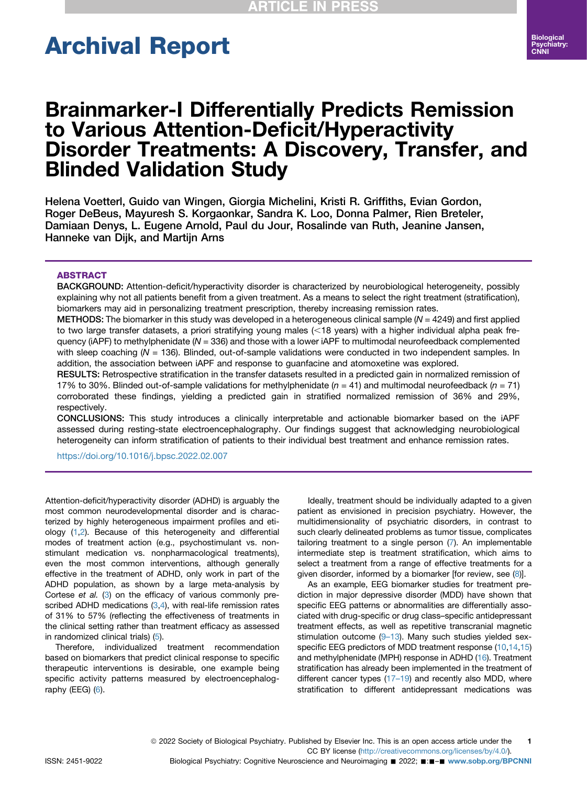# Archival Report

# Brainmarker-I Differentially Predicts Remission to Various Attention-Deficit/Hyperactivity Disorder Treatments: A Discovery, Transfer, and Blinded Validation Study

Helena Voetterl, Guido van Wingen, Giorgia Michelini, Kristi R. Griffiths, Evian Gordon, Roger DeBeus, Mayuresh S. Korgaonkar, Sandra K. Loo, Donna Palmer, Rien Breteler, Damiaan Denys, L. Eugene Arnold, Paul du Jour, Rosalinde van Ruth, Jeanine Jansen, Hanneke van Dijk, and Martijn Arns

#### **ABSTRACT**

BACKGROUND: Attention-deficit/hyperactivity disorder is characterized by neurobiological heterogeneity, possibly explaining why not all patients benefit from a given treatment. As a means to select the right treatment (stratification), biomarkers may aid in personalizing treatment prescription, thereby increasing remission rates.

METHODS: The biomarker in this study was developed in a heterogeneous clinical sample ( $N = 4249$ ) and first applied to two large transfer datasets, a priori stratifying young males (<18 years) with a higher individual alpha peak frequency (iAPF) to methylphenidate (N = 336) and those with a lower iAPF to multimodal neurofeedback complemented with sleep coaching (N = 136). Blinded, out-of-sample validations were conducted in two independent samples. In addition, the association between iAPF and response to guanfacine and atomoxetine was explored.

RESULTS: Retrospective stratification in the transfer datasets resulted in a predicted gain in normalized remission of 17% to 30%. Blinded out-of-sample validations for methylphenidate ( $n = 41$ ) and multimodal neurofeedback ( $n = 71$ ) corroborated these findings, yielding a predicted gain in stratified normalized remission of 36% and 29%, respectively.

CONCLUSIONS: This study introduces a clinically interpretable and actionable biomarker based on the iAPF assessed during resting-state electroencephalography. Our findings suggest that acknowledging neurobiological heterogeneity can inform stratification of patients to their individual best treatment and enhance remission rates.

<https://doi.org/10.1016/j.bpsc.2022.02.007>

Attention-deficit/hyperactivity disorder (ADHD) is arguably the most common neurodevelopmental disorder and is characterized by highly heterogeneous impairment profiles and etiology ([1,](#page-6-0)[2\)](#page-6-1). Because of this heterogeneity and differential modes of treatment action (e.g., psychostimulant vs. nonstimulant medication vs. nonpharmacological treatments), even the most common interventions, although generally effective in the treatment of ADHD, only work in part of the ADHD population, as shown by a large meta-analysis by Cortese et al. [\(3\)](#page-6-2) on the efficacy of various commonly prescribed ADHD medications  $(3,4)$  $(3,4)$  $(3,4)$  $(3,4)$  $(3,4)$ , with real-life remission rates of 31% to 57% (reflecting the effectiveness of treatments in the clinical setting rather than treatment efficacy as assessed in randomized clinical trials) [\(5](#page-7-1)).

Therefore, individualized treatment recommendation based on biomarkers that predict clinical response to specific therapeutic interventions is desirable, one example being specific activity patterns measured by electroencephalography ( $EEG$ ) ( $6$ ).

Ideally, treatment should be individually adapted to a given patient as envisioned in precision psychiatry. However, the multidimensionality of psychiatric disorders, in contrast to such clearly delineated problems as tumor tissue, complicates tailoring treatment to a single person ([7\)](#page-7-3). An implementable intermediate step is treatment stratification, which aims to select a treatment from a range of effective treatments for a given disorder, informed by a biomarker [for review, see  $(8)$ ].

As an example, EEG biomarker studies for treatment prediction in major depressive disorder (MDD) have shown that specific EEG patterns or abnormalities are differentially associated with drug-specific or drug class–specific antidepressant treatment effects, as well as repetitive transcranial magnetic stimulation outcome (9–[13](#page-7-5)). Many such studies yielded sex-specific EEG predictors of MDD treatment response [\(10,](#page-7-6)[14](#page-7-7),[15\)](#page-7-8) and methylphenidate (MPH) response in ADHD ([16](#page-7-9)). Treatment stratification has already been implemented in the treatment of different cancer types [\(17](#page-7-10)–19) and recently also MDD, where stratification to different antidepressant medications was

ISSN: 2451-9022 Biological Psychiatry: Cognitive Neuroscience and Neuroimaging ■ 2022; ■:■-■ [www.sobp.org/BPCNNI](http://www.sobp.org/BPCNNI)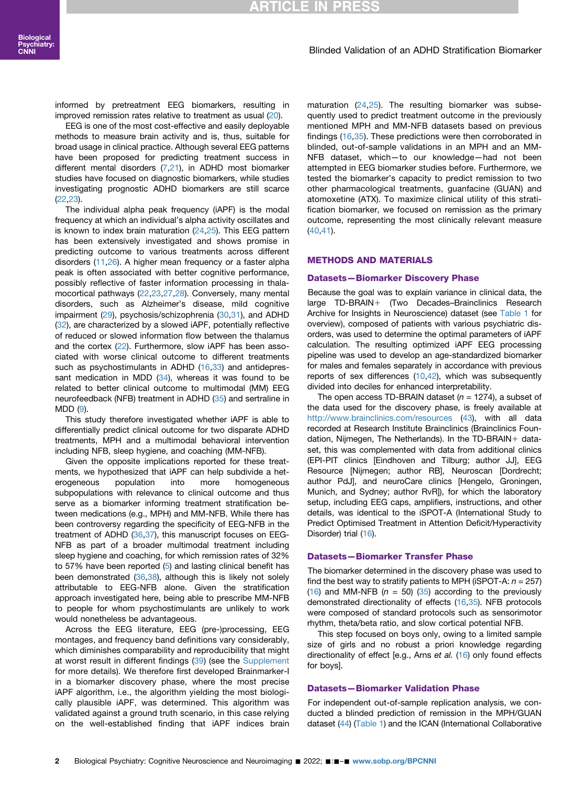# **ITICLE IN**

#### Blinded Validation of an ADHD Stratification Biomarker

informed by pretreatment EEG biomarkers, resulting in improved remission rates relative to treatment as usual [\(20\)](#page-7-11).

EEG is one of the most cost-effective and easily deployable methods to measure brain activity and is, thus, suitable for broad usage in clinical practice. Although several EEG patterns have been proposed for predicting treatment success in different mental disorders [\(7](#page-7-3)[,21\)](#page-7-12), in ADHD most biomarker studies have focused on diagnostic biomarkers, while studies investigating prognostic ADHD biomarkers are still scarce ([22](#page-7-13),[23\)](#page-7-14).

The individual alpha peak frequency (iAPF) is the modal frequency at which an individual's alpha activity oscillates and is known to index brain maturation [\(24,](#page-7-15)[25](#page-7-16)). This EEG pattern has been extensively investigated and shows promise in predicting outcome to various treatments across different disorders ([11](#page-7-17)[,26\)](#page-7-18). A higher mean frequency or a faster alpha peak is often associated with better cognitive performance, possibly reflective of faster information processing in thalamocortical pathways [\(22,](#page-7-13)[23](#page-7-14),[27](#page-7-19),[28](#page-7-20)). Conversely, many mental disorders, such as Alzheimer's disease, mild cognitive impairment ([29](#page-7-21)), psychosis/schizophrenia ([30](#page-7-22)[,31\)](#page-7-23), and ADHD ([32](#page-7-24)), are characterized by a slowed iAPF, potentially reflective of reduced or slowed information flow between the thalamus and the cortex ([22](#page-7-13)). Furthermore, slow iAPF has been associated with worse clinical outcome to different treatments such as psychostimulants in ADHD ([16](#page-7-9),[33](#page-7-25)) and antidepressant medication in MDD  $(34)$ , whereas it was found to be related to better clinical outcome to multimodal (MM) EEG neurofeedback (NFB) treatment in ADHD ([35](#page-7-27)) and sertraline in MDD [\(9\)](#page-7-5).

This study therefore investigated whether iAPF is able to differentially predict clinical outcome for two disparate ADHD treatments, MPH and a multimodal behavioral intervention including NFB, sleep hygiene, and coaching (MM-NFB).

Given the opposite implications reported for these treatments, we hypothesized that iAPF can help subdivide a heterogeneous population into more homogeneous subpopulations with relevance to clinical outcome and thus serve as a biomarker informing treatment stratification between medications (e.g., MPH) and MM-NFB. While there has been controversy regarding the specificity of EEG-NFB in the treatment of ADHD [\(36](#page-7-28),[37](#page-7-29)), this manuscript focuses on EEG-NFB as part of a broader multimodal treatment including sleep hygiene and coaching, for which remission rates of 32% to 57% have been reported [\(5](#page-7-1)) and lasting clinical benefit has been demonstrated [\(36,](#page-7-28)[38](#page-7-30)), although this is likely not solely attributable to EEG-NFB alone. Given the stratification approach investigated here, being able to prescribe MM-NFB to people for whom psychostimulants are unlikely to work would nonetheless be advantageous.

Across the EEG literature, EEG (pre-)processing, EEG montages, and frequency band definitions vary considerably, which diminishes comparability and reproducibility that might at worst result in different findings ([39](#page-7-31)) (see the [Supplement](#page-8-0) for more details). We therefore first developed Brainmarker-I in a biomarker discovery phase, where the most precise iAPF algorithm, i.e., the algorithm yielding the most biologically plausible iAPF, was determined. This algorithm was validated against a ground truth scenario, in this case relying on the well-established finding that iAPF indices brain

maturation ([24](#page-7-15),[25](#page-7-16)). The resulting biomarker was subsequently used to predict treatment outcome in the previously mentioned MPH and MM-NFB datasets based on previous findings [\(16,](#page-7-9)[35\)](#page-7-27). These predictions were then corroborated in blinded, out-of-sample validations in an MPH and an MM-NFB dataset, which—to our knowledge—had not been attempted in EEG biomarker studies before. Furthermore, we tested the biomarker's capacity to predict remission to two other pharmacological treatments, guanfacine (GUAN) and atomoxetine (ATX). To maximize clinical utility of this stratification biomarker, we focused on remission as the primary outcome, representing the most clinically relevant measure ([40](#page-7-32)[,41](#page-7-33)).

#### METHODS AND MATERIALS

#### Datasets—Biomarker Discovery Phase

Because the goal was to explain variance in clinical data, the large TD-BRAIN+ (Two Decades–Brainclinics Research Archive for Insights in Neuroscience) dataset (see [Table 1](#page-2-0) for overview), composed of patients with various psychiatric disorders, was used to determine the optimal parameters of iAPF calculation. The resulting optimized iAPF EEG processing pipeline was used to develop an age-standardized biomarker for males and females separately in accordance with previous reports of sex differences [\(10,](#page-7-6)[42](#page-7-34)), which was subsequently divided into deciles for enhanced interpretability.

The open access TD-BRAIN dataset ( $n = 1274$ ), a subset of the data used for the discovery phase, is freely available at <http://www.brainclinics.com/resources> [\(43\)](#page-7-35), with all data recorded at Research Institute Brainclinics (Brainclinics Foundation, Nijmegen, The Netherlands). In the TD-BRAIN+ dataset, this was complemented with data from additional clinics (EPI-PIT clinics [Eindhoven and Tilburg; author JJ], EEG Resource [Nijmegen; author RB], Neuroscan [Dordrecht; author PdJ], and neuroCare clinics [Hengelo, Groningen, Munich, and Sydney; author RvR]), for which the laboratory setup, including EEG caps, amplifiers, instructions, and other details, was identical to the iSPOT-A (International Study to Predict Optimised Treatment in Attention Deficit/Hyperactivity Disorder) trial ([16\)](#page-7-9).

#### Datasets—Biomarker Transfer Phase

The biomarker determined in the discovery phase was used to find the best way to stratify patients to MPH (iSPOT-A:  $n = 257$ ) [\(16\)](#page-7-9) and MM-NFB ( $n = 50$ ) ([35](#page-7-27)) according to the previously demonstrated directionality of effects [\(16,](#page-7-9)[35](#page-7-27)). NFB protocols were composed of standard protocols such as sensorimotor rhythm, theta/beta ratio, and slow cortical potential NFB.

This step focused on boys only, owing to a limited sample size of girls and no robust a priori knowledge regarding directionality of effect [e.g., Arns et al. ([16](#page-7-9)) only found effects for boys].

#### Datasets—Biomarker Validation Phase

For independent out-of-sample replication analysis, we conducted a blinded prediction of remission in the MPH/GUAN dataset ([44](#page-8-1)) ([Table 1\)](#page-2-0) and the ICAN (International Collaborative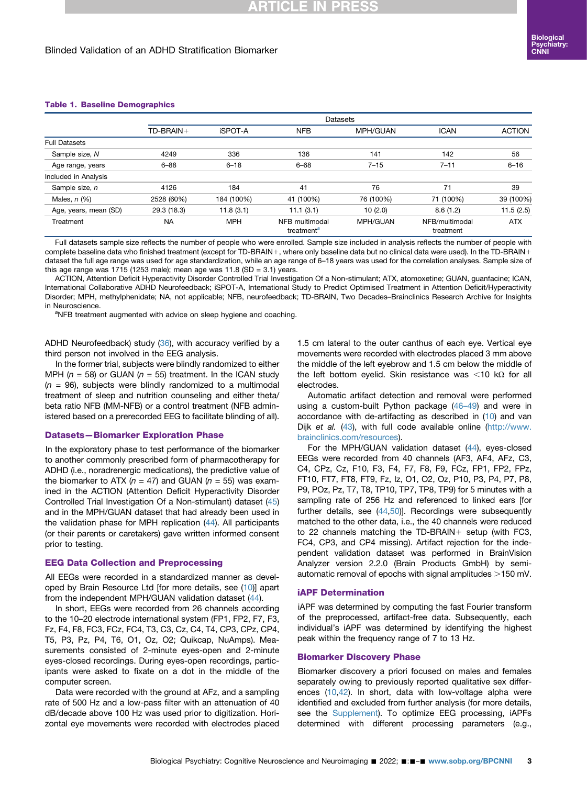#### <span id="page-2-0"></span>Table 1. Baseline Demographics

|                       |             | Datasets       |                                          |           |                             |               |  |
|-----------------------|-------------|----------------|------------------------------------------|-----------|-----------------------------|---------------|--|
|                       | TD-BRAIN+   | <b>iSPOT-A</b> | <b>NFB</b>                               | MPH/GUAN  | <b>ICAN</b>                 | <b>ACTION</b> |  |
| <b>Full Datasets</b>  |             |                |                                          |           |                             |               |  |
| Sample size, N        | 4249        | 336            | 136                                      | 141       | 142                         | 56            |  |
| Age range, years      | $6 - 88$    | $6 - 18$       | $6 - 68$                                 | $7 - 15$  | $7 - 11$                    | $6 - 16$      |  |
| Included in Analysis  |             |                |                                          |           |                             |               |  |
| Sample size, n        | 4126        | 184            | 41                                       | 76        | 71                          | 39            |  |
| Males, $n$ $(\%)$     | 2528 (60%)  | 184 (100%)     | 41 (100%)                                | 76 (100%) | 71 (100%)                   | 39 (100%)     |  |
| Age, years, mean (SD) | 29.3 (18.3) | 11.8(3.1)      | 11.1(3.1)                                | 10(2.0)   | 8.6(1.2)                    | 11.5(2.5)     |  |
| Treatment             | <b>NA</b>   | <b>MPH</b>     | NFB multimodal<br>treatment <sup>a</sup> | MPH/GUAN  | NFB/multimodal<br>treatment | <b>ATX</b>    |  |

Full datasets sample size reflects the number of people who were enrolled. Sample size included in analysis reflects the number of people with complete baseline data who finished treatment (except for TD-BRAIN+, where only baseline data but no clinical data were used). In the TD-BRAIN+ dataset the full age range was used for age standardization, while an age range of 6–18 years was used for the correlation analyses. Sample size of this age range was 1715 (1253 male); mean age was 11.8 (SD = 3.1) years.

ACTION, Attention Deficit Hyperactivity Disorder Controlled Trial Investigation Of a Non-stimulant; ATX, atomoxetine; GUAN, guanfacine; ICAN, International Collaborative ADHD Neurofeedback; iSPOT-A, International Study to Predict Optimised Treatment in Attention Deficit/Hyperactivity Disorder; MPH, methylphenidate; NA, not applicable; NFB, neurofeedback; TD-BRAIN, Two Decades–Brainclinics Research Archive for Insights in Neuroscience.

<span id="page-2-1"></span><sup>a</sup>NFB treatment augmented with advice on sleep hygiene and coaching.

ADHD Neurofeedback) study ([36\)](#page-7-28), with accuracy verified by a third person not involved in the EEG analysis.

In the former trial, subjects were blindly randomized to either MPH ( $n = 58$ ) or GUAN ( $n = 55$ ) treatment. In the ICAN study  $(n = 96)$ , subjects were blindly randomized to a multimodal treatment of sleep and nutrition counseling and either theta/ beta ratio NFB (MM-NFB) or a control treatment (NFB administered based on a prerecorded EEG to facilitate blinding of all).

#### Datasets—Biomarker Exploration Phase

In the exploratory phase to test performance of the biomarker to another commonly prescribed form of pharmacotherapy for ADHD (i.e., noradrenergic medications), the predictive value of the biomarker to ATX ( $n = 47$ ) and GUAN ( $n = 55$ ) was examined in the ACTION (Attention Deficit Hyperactivity Disorder Controlled Trial Investigation Of a Non-stimulant) dataset ([45](#page-8-2)) and in the MPH/GUAN dataset that had already been used in the validation phase for MPH replication ([44](#page-8-1)). All participants (or their parents or caretakers) gave written informed consent prior to testing.

#### EEG Data Collection and Preprocessing

All EEGs were recorded in a standardized manner as devel-oped by Brain Resource Ltd [for more details, see [\(10\)](#page-7-6)] apart from the independent MPH/GUAN validation dataset [\(44](#page-8-1)).

In short, EEGs were recorded from 26 channels according to the 10–20 electrode international system (FP1, FP2, F7, F3, Fz, F4, F8, FC3, FCz, FC4, T3, C3, Cz, C4, T4, CP3, CPz, CP4, T5, P3, Pz, P4, T6, O1, Oz, O2; Quikcap, NuAmps). Measurements consisted of 2-minute eyes-open and 2-minute eyes-closed recordings. During eyes-open recordings, participants were asked to fixate on a dot in the middle of the computer screen.

Data were recorded with the ground at AFz, and a sampling rate of 500 Hz and a low-pass filter with an attenuation of 40 dB/decade above 100 Hz was used prior to digitization. Horizontal eye movements were recorded with electrodes placed 1.5 cm lateral to the outer canthus of each eye. Vertical eye movements were recorded with electrodes placed 3 mm above the middle of the left eyebrow and 1.5 cm below the middle of the left bottom eyelid. Skin resistance was  $<$ 10 k $\Omega$  for all electrodes.

Automatic artifact detection and removal were performed using a custom-built Python package [\(46](#page-8-3)–49) and were in accordance with de-artifacting as described in [\(10\)](#page-7-6) and van Dijk et al. ([43](#page-7-35)), with full code available online ([http://www.](http://www.brainclinics.com/resources) [brainclinics.com/resources](http://www.brainclinics.com/resources)).

For the MPH/GUAN validation dataset ([44](#page-8-1)), eyes-closed EEGs were recorded from 40 channels (AF3, AF4, AFz, C3, C4, CPz, Cz, F10, F3, F4, F7, F8, F9, FCz, FP1, FP2, FPz, FT10, FT7, FT8, FT9, Fz, Iz, O1, O2, Oz, P10, P3, P4, P7, P8, P9, POz, Pz, T7, T8, TP10, TP7, TP8, TP9) for 5 minutes with a sampling rate of 256 Hz and referenced to linked ears [for further details, see [\(44,](#page-8-1)[50](#page-8-4))]. Recordings were subsequently matched to the other data, i.e., the 40 channels were reduced to 22 channels matching the TD-BRAIN+ setup (with FC3, FC4, CP3, and CP4 missing). Artifact rejection for the independent validation dataset was performed in BrainVision Analyzer version 2.2.0 (Brain Products GmbH) by semiautomatic removal of epochs with signal amplitudes  $>150$  mV.

#### iAPF Determination

iAPF was determined by computing the fast Fourier transform of the preprocessed, artifact-free data. Subsequently, each individual's iAPF was determined by identifying the highest peak within the frequency range of 7 to 13 Hz.

#### Biomarker Discovery Phase

Biomarker discovery a priori focused on males and females separately owing to previously reported qualitative sex differences [\(10](#page-7-6),[42](#page-7-34)). In short, data with low-voltage alpha were identified and excluded from further analysis (for more details, see the [Supplement\)](#page-8-0). To optimize EEG processing, iAPFs determined with different processing parameters (e.g.,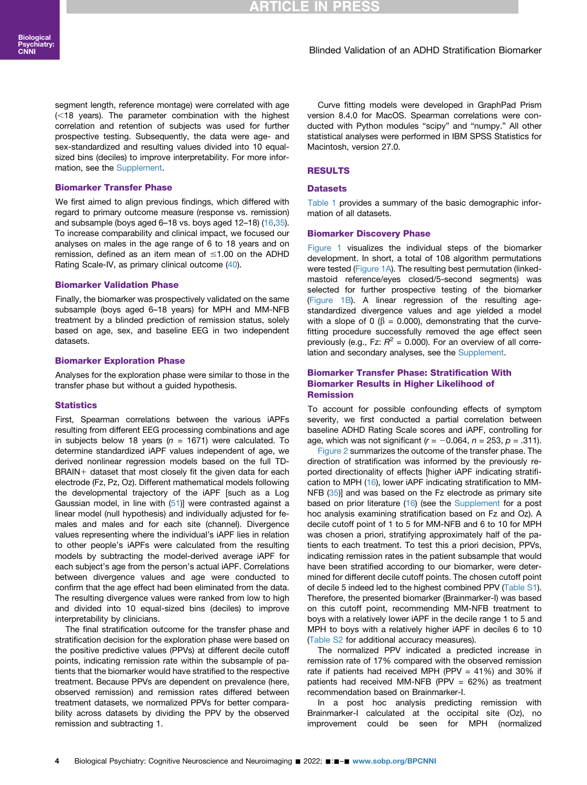segment length, reference montage) were correlated with age  $(<$ 18 years). The parameter combination with the highest correlation and retention of subjects was used for further prospective testing. Subsequently, the data were age- and sex-standardized and resulting values divided into 10 equalsized bins (deciles) to improve interpretability. For more information, see the [Supplement.](#page-8-0)

#### Biomarker Transfer Phase

We first aimed to align previous findings, which differed with regard to primary outcome measure (response vs. remission) and subsample (boys aged 6–18 vs. boys aged 12–18) [\(16](#page-7-9),[35](#page-7-27)). To increase comparability and clinical impact, we focused our analyses on males in the age range of 6 to 18 years and on remission, defined as an item mean of  $\leq 1.00$  on the ADHD Rating Scale-IV, as primary clinical outcome [\(40\)](#page-7-32).

#### Biomarker Validation Phase

Finally, the biomarker was prospectively validated on the same subsample (boys aged 6–18 years) for MPH and MM-NFB treatment by a blinded prediction of remission status, solely based on age, sex, and baseline EEG in two independent datasets.

#### Biomarker Exploration Phase

Analyses for the exploration phase were similar to those in the transfer phase but without a guided hypothesis.

#### **Statistics**

First, Spearman correlations between the various iAPFs resulting from different EEG processing combinations and age in subjects below 18 years ( $n = 1671$ ) were calculated. To determine standardized iAPF values independent of age, we derived nonlinear regression models based on the full TD- $BRAIN+$  dataset that most closely fit the given data for each electrode (Fz, Pz, Oz). Different mathematical models following the developmental trajectory of the iAPF [such as a Log Gaussian model, in line with [\(51\)](#page-8-5)] were contrasted against a linear model (null hypothesis) and individually adjusted for females and males and for each site (channel). Divergence values representing where the individual's iAPF lies in relation to other people's iAPFs were calculated from the resulting models by subtracting the model-derived average iAPF for each subject's age from the person's actual iAPF. Correlations between divergence values and age were conducted to confirm that the age effect had been eliminated from the data. The resulting divergence values were ranked from low to high and divided into 10 equal-sized bins (deciles) to improve interpretability by clinicians.

The final stratification outcome for the transfer phase and stratification decision for the exploration phase were based on the positive predictive values (PPVs) at different decile cutoff points, indicating remission rate within the subsample of patients that the biomarker would have stratified to the respective treatment. Because PPVs are dependent on prevalence (here, observed remission) and remission rates differed between treatment datasets, we normalized PPVs for better comparability across datasets by dividing the PPV by the observed remission and subtracting 1.

Curve fitting models were developed in GraphPad Prism version 8.4.0 for MacOS. Spearman correlations were conducted with Python modules "scipy" and "numpy." All other statistical analyses were performed in IBM SPSS Statistics for Macintosh, version 27.0.

#### RESULTS

#### **Datasets**

[Table 1](#page-2-0) provides a summary of the basic demographic information of all datasets.

#### Biomarker Discovery Phase

[Figure 1](#page-4-0) visualizes the individual steps of the biomarker development. In short, a total of 108 algorithm permutations were tested [\(Figure 1A\)](#page-4-0). The resulting best permutation (linkedmastoid reference/eyes closed/5-second segments) was selected for further prospective testing of the biomarker [\(Figure 1B\)](#page-4-0). A linear regression of the resulting agestandardized divergence values and age yielded a model with a slope of 0 ( $\beta$  = 0.000), demonstrating that the curvefitting procedure successfully removed the age effect seen previously (e.g., Fz:  $R^2$  = 0.000). For an overview of all corre-lation and secondary analyses, see the [Supplement](#page-8-0).

#### Biomarker Transfer Phase: Stratification With Biomarker Results in Higher Likelihood of Remission

To account for possible confounding effects of symptom severity, we first conducted a partial correlation between baseline ADHD Rating Scale scores and iAPF, controlling for age, which was not significant ( $r = -0.064$ ,  $n = 253$ ,  $p = .311$ ).

[Figure 2](#page-5-0) summarizes the outcome of the transfer phase. The direction of stratification was informed by the previously reported directionality of effects [higher iAPF indicating stratification to MPH [\(16\)](#page-7-9), lower iAPF indicating stratification to MM-NFB [\(35\)](#page-7-27)] and was based on the Fz electrode as primary site based on prior literature [\(16\)](#page-7-9) (see the [Supplement](#page-8-0) for a post hoc analysis examining stratification based on Fz and Oz). A decile cutoff point of 1 to 5 for MM-NFB and 6 to 10 for MPH was chosen a priori, stratifying approximately half of the patients to each treatment. To test this a priori decision, PPVs, indicating remission rates in the patient subsample that would have been stratified according to our biomarker, were determined for different decile cutoff points. The chosen cutoff point of decile 5 indeed led to the highest combined PPV [\(Table S1\)](#page-8-0). Therefore, the presented biomarker (Brainmarker-I) was based on this cutoff point, recommending MM-NFB treatment to boys with a relatively lower iAPF in the decile range 1 to 5 and MPH to boys with a relatively higher iAPF in deciles 6 to 10 [\(Table S2](#page-8-0) for additional accuracy measures).

The normalized PPV indicated a predicted increase in remission rate of 17% compared with the observed remission rate if patients had received MPH (PPV  $=$  41%) and 30% if patients had received MM-NFB (PPV  $= 62\%$ ) as treatment recommendation based on Brainmarker-I.

In a post hoc analysis predicting remission with Brainmarker-I calculated at the occipital site (Oz), no improvement could be seen for MPH (normalized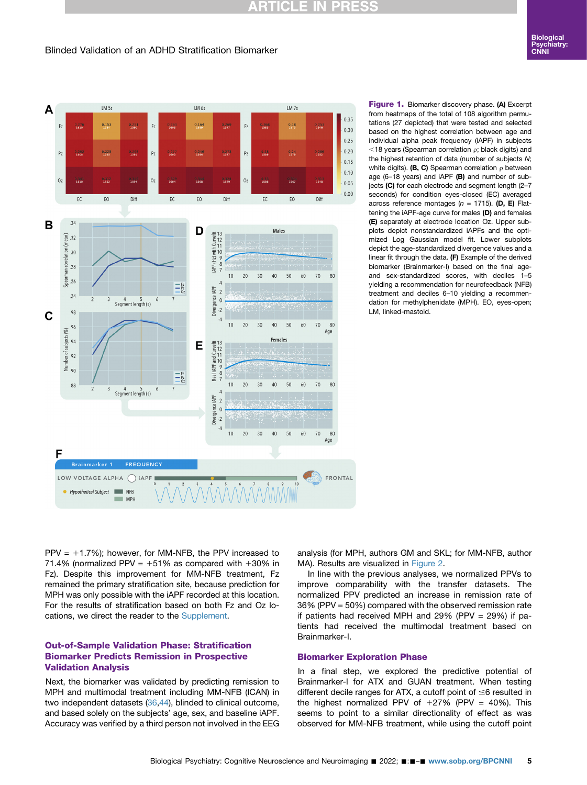# **RTICLE IN PRESS**

#### Blinded Validation of an ADHD Stratification Biomarker

<span id="page-4-0"></span>

Figure 1. Biomarker discovery phase. (A) Excerpt from heatmaps of the total of 108 algorithm permutations (27 depicted) that were tested and selected based on the highest correlation between age and individual alpha peak frequency (iAPF) in subjects  $<$ 18 years (Spearman correlation  $\rho$ ; black digits) and the highest retention of data (number of subjects N; white digits). (B, C) Spearman correlation  $\rho$  between age (6–18 years) and iAPF (B) and number of subjects (C) for each electrode and segment length (2-7 seconds) for condition eyes-closed (EC) averaged across reference montages ( $n = 1715$ ). (D, E) Flattening the iAPF-age curve for males (D) and females (E) separately at electrode location Oz. Upper subplots depict nonstandardized iAPFs and the optimized Log Gaussian model fit. Lower subplots depict the age-standardized divergence values and a linear fit through the data. (F) Example of the derived biomarker (Brainmarker-I) based on the final ageand sex-standardized scores, with deciles 1–5 yielding a recommendation for neurofeedback (NFB) treatment and deciles 6–10 yielding a recommendation for methylphenidate (MPH). EO, eyes-open; LM, linked-mastoid.

PPV =  $+1.7\%$ ); however, for MM-NFB, the PPV increased to 71.4% (normalized PPV =  $+51\%$  as compared with  $+30\%$  in Fz). Despite this improvement for MM-NFB treatment, Fz remained the primary stratification site, because prediction for MPH was only possible with the iAPF recorded at this location. For the results of stratification based on both Fz and Oz locations, we direct the reader to the [Supplement](#page-8-0).

#### Out-of-Sample Validation Phase: Stratification Biomarker Predicts Remission in Prospective Validation Analysis

Next, the biomarker was validated by predicting remission to MPH and multimodal treatment including MM-NFB (ICAN) in two independent datasets [\(36](#page-7-28),[44](#page-8-1)), blinded to clinical outcome, and based solely on the subjects' age, sex, and baseline iAPF. Accuracy was verified by a third person not involved in the EEG analysis (for MPH, authors GM and SKL; for MM-NFB, author MA). Results are visualized in [Figure 2](#page-5-0).

In line with the previous analyses, we normalized PPVs to improve comparability with the transfer datasets. The normalized PPV predicted an increase in remission rate of 36% (PPV = 50%) compared with the observed remission rate if patients had received MPH and  $29\%$  (PPV =  $29\%$ ) if patients had received the multimodal treatment based on Brainmarker-I.

#### Biomarker Exploration Phase

In a final step, we explored the predictive potential of Brainmarker-I for ATX and GUAN treatment. When testing different decile ranges for ATX, a cutoff point of  $\leq$ 6 resulted in the highest normalized PPV of  $+27\%$  (PPV = 40%). This seems to point to a similar directionality of effect as was observed for MM-NFB treatment, while using the cutoff point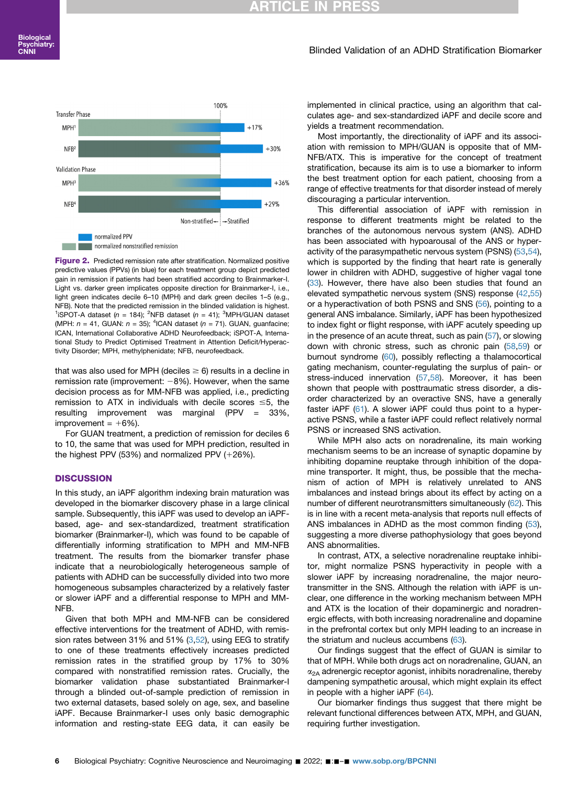### RTICLE IN

#### Blinded Validation of an ADHD Stratification Biomarker

<span id="page-5-0"></span>

Figure 2. Predicted remission rate after stratification. Normalized positive predictive values (PPVs) (in blue) for each treatment group depict predicted gain in remission if patients had been stratified according to Brainmarker-I. Light vs. darker green implicates opposite direction for Brainmarker-I, i.e., light green indicates decile 6–10 (MPH) and dark green deciles 1–5 (e.g., NFB). Note that the predicted remission in the blinded validation is highest. <sup>1</sup>iSPOT-A dataset (n = 184); <sup>2</sup>NFB dataset (n = 41); <sup>3</sup>MPH/GUAN dataset (MPH:  $n = 41$ , GUAN:  $n = 35$ ); <sup>4</sup>ICAN dataset ( $n = 71$ ). GUAN, guanfacine; ICAN, International Collaborative ADHD Neurofeedback; iSPOT-A, International Study to Predict Optimised Treatment in Attention Deficit/Hyperactivity Disorder; MPH, methylphenidate; NFB, neurofeedback.

that was also used for MPH (deciles  $\geq 6$ ) results in a decline in remission rate (improvement:  $-8%$ ). However, when the same decision process as for MM-NFB was applied, i.e., predicting remission to ATX in individuals with decile scores  $\leq 5$ , the resulting improvement was marginal (PPV = 33%, improvement =  $+6%$ ).

For GUAN treatment, a prediction of remission for deciles 6 to 10, the same that was used for MPH prediction, resulted in the highest PPV (53%) and normalized PPV  $(+26%)$ .

#### **DISCUSSION**

In this study, an iAPF algorithm indexing brain maturation was developed in the biomarker discovery phase in a large clinical sample. Subsequently, this iAPF was used to develop an iAPFbased, age- and sex-standardized, treatment stratification biomarker (Brainmarker-I), which was found to be capable of differentially informing stratification to MPH and MM-NFB treatment. The results from the biomarker transfer phase indicate that a neurobiologically heterogeneous sample of patients with ADHD can be successfully divided into two more homogeneous subsamples characterized by a relatively faster or slower iAPF and a differential response to MPH and MM-NFB.

Given that both MPH and MM-NFB can be considered effective interventions for the treatment of ADHD, with remission rates between 31% and 51%  $(3,52)$  $(3,52)$  $(3,52)$ , using EEG to stratify to one of these treatments effectively increases predicted remission rates in the stratified group by 17% to 30% compared with nonstratified remission rates. Crucially, the biomarker validation phase substantiated Brainmarker-I through a blinded out-of-sample prediction of remission in two external datasets, based solely on age, sex, and baseline iAPF. Because Brainmarker-I uses only basic demographic information and resting-state EEG data, it can easily be

implemented in clinical practice, using an algorithm that calculates age- and sex-standardized iAPF and decile score and yields a treatment recommendation.

Most importantly, the directionality of iAPF and its association with remission to MPH/GUAN is opposite that of MM-NFB/ATX. This is imperative for the concept of treatment stratification, because its aim is to use a biomarker to inform the best treatment option for each patient, choosing from a range of effective treatments for that disorder instead of merely discouraging a particular intervention.

This differential association of iAPF with remission in response to different treatments might be related to the branches of the autonomous nervous system (ANS). ADHD has been associated with hypoarousal of the ANS or hyper-activity of the parasympathetic nervous system (PSNS) ([53](#page-8-7)[,54\)](#page-8-8), which is supported by the finding that heart rate is generally lower in children with ADHD, suggestive of higher vagal tone [\(33\)](#page-7-25). However, there have also been studies that found an elevated sympathetic nervous system (SNS) response ([42](#page-7-34)[,55\)](#page-8-9) or a hyperactivation of both PSNS and SNS [\(56\)](#page-8-10), pointing to a general ANS imbalance. Similarly, iAPF has been hypothesized to index fight or flight response, with iAPF acutely speeding up in the presence of an acute threat, such as pain ([57](#page-8-11)), or slowing down with chronic stress, such as chronic pain ([58](#page-8-12)[,59\)](#page-8-13) or burnout syndrome ([60](#page-8-14)), possibly reflecting a thalamocortical gating mechanism, counter-regulating the surplus of pain- or stress-induced innervation [\(57](#page-8-11),[58](#page-8-12)). Moreover, it has been shown that people with posttraumatic stress disorder, a disorder characterized by an overactive SNS, have a generally faster iAPF [\(61\)](#page-8-15). A slower iAPF could thus point to a hyperactive PSNS, while a faster iAPF could reflect relatively normal PSNS or increased SNS activation.

While MPH also acts on noradrenaline, its main working mechanism seems to be an increase of synaptic dopamine by inhibiting dopamine reuptake through inhibition of the dopamine transporter. It might, thus, be possible that the mechanism of action of MPH is relatively unrelated to ANS imbalances and instead brings about its effect by acting on a number of different neurotransmitters simultaneously [\(62\)](#page-8-16). This is in line with a recent meta-analysis that reports null effects of ANS imbalances in ADHD as the most common finding [\(53\)](#page-8-7), suggesting a more diverse pathophysiology that goes beyond ANS abnormalities.

In contrast, ATX, a selective noradrenaline reuptake inhibitor, might normalize PSNS hyperactivity in people with a slower iAPF by increasing noradrenaline, the major neurotransmitter in the SNS. Although the relation with iAPF is unclear, one difference in the working mechanism between MPH and ATX is the location of their dopaminergic and noradrenergic effects, with both increasing noradrenaline and dopamine in the prefrontal cortex but only MPH leading to an increase in the striatum and nucleus accumbens ([63\)](#page-8-17).

Our findings suggest that the effect of GUAN is similar to that of MPH. While both drugs act on noradrenaline, GUAN, an  $\alpha_{2A}$  adrenergic receptor agonist, inhibits noradrenaline, thereby dampening sympathetic arousal, which might explain its effect in people with a higher iAPF [\(64\)](#page-8-18).

Our biomarker findings thus suggest that there might be relevant functional differences between ATX, MPH, and GUAN, requiring further investigation.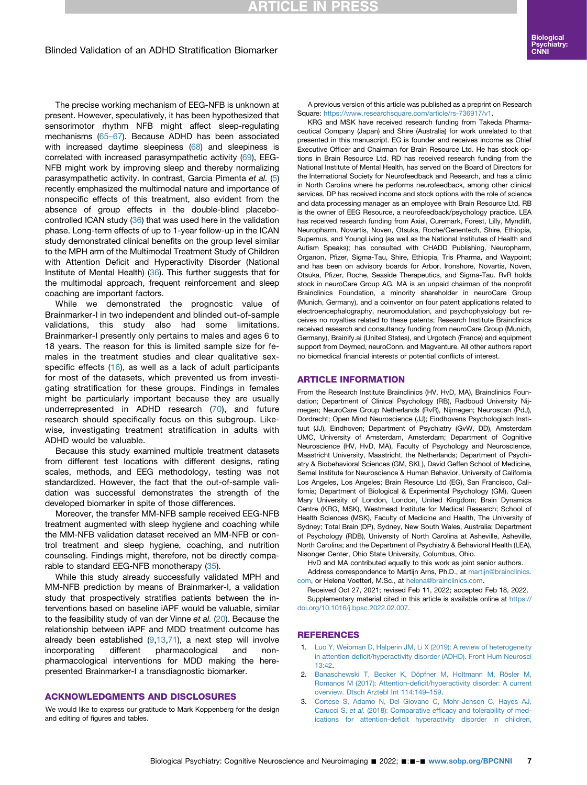# **RTICLE IN PRESS**

#### Blinded Validation of an ADHD Stratification Biomarker

The precise working mechanism of EEG-NFB is unknown at present. However, speculatively, it has been hypothesized that sensorimotor rhythm NFB might affect sleep-regulating mechanisms [\(65](#page-8-19)–67). Because ADHD has been associated with increased daytime sleepiness ([68\)](#page-8-20) and sleepiness is correlated with increased parasympathetic activity ([69\)](#page-8-21), EEG-NFB might work by improving sleep and thereby normalizing parasympathetic activity. In contrast, Garcia Pimenta et al. ([5](#page-7-1)) recently emphasized the multimodal nature and importance of nonspecific effects of this treatment, also evident from the absence of group effects in the double-blind placebo-controlled ICAN study ([36](#page-7-28)) that was used here in the validation phase. Long-term effects of up to 1-year follow-up in the ICAN study demonstrated clinical benefits on the group level similar to the MPH arm of the Multimodal Treatment Study of Children with Attention Deficit and Hyperactivity Disorder (National Institute of Mental Health) [\(36\)](#page-7-28). This further suggests that for the multimodal approach, frequent reinforcement and sleep coaching are important factors.

While we demonstrated the prognostic value of Brainmarker-I in two independent and blinded out-of-sample validations, this study also had some limitations. Brainmarker-I presently only pertains to males and ages 6 to 18 years. The reason for this is limited sample size for females in the treatment studies and clear qualitative sex-specific effects [\(16\)](#page-7-9), as well as a lack of adult participants for most of the datasets, which prevented us from investigating stratification for these groups. Findings in females might be particularly important because they are usually underrepresented in ADHD research [\(70](#page-8-22)), and future research should specifically focus on this subgroup. Likewise, investigating treatment stratification in adults with ADHD would be valuable.

Because this study examined multiple treatment datasets from different test locations with different designs, rating scales, methods, and EEG methodology, testing was not standardized. However, the fact that the out-of-sample validation was successful demonstrates the strength of the developed biomarker in spite of those differences.

Moreover, the transfer MM-NFB sample received EEG-NFB treatment augmented with sleep hygiene and coaching while the MM-NFB validation dataset received an MM-NFB or control treatment and sleep hygiene, coaching, and nutrition counseling. Findings might, therefore, not be directly compa-rable to standard EEG-NFB monotherapy [\(35\)](#page-7-27).

While this study already successfully validated MPH and MM-NFB prediction by means of Brainmarker-I, a validation study that prospectively stratifies patients between the interventions based on baseline iAPF would be valuable, similar to the feasibility study of van der Vinne et al. [\(20\)](#page-7-11). Because the relationship between iAPF and MDD treatment outcome has already been established  $(9,13,71)$  $(9,13,71)$  $(9,13,71)$  $(9,13,71)$  $(9,13,71)$ , a next step will involve incorporating different pharmacological and nonpharmacological interventions for MDD making the herepresented Brainmarker-I a transdiagnostic biomarker.

#### ACKNOWLEDGMENTS AND DISCLOSURES

We would like to express our gratitude to Mark Koppenberg for the design and editing of figures and tables.

A previous version of this article was published as a preprint on Research Square: <https://www.researchsquare.com/article/rs-736917/v1>.

KRG and MSK have received research funding from Takeda Pharmaceutical Company (Japan) and Shire (Australia) for work unrelated to that presented in this manuscript. EG is founder and receives income as Chief Executive Officer and Chairman for Brain Resource Ltd. He has stock options in Brain Resource Ltd. RD has received research funding from the National Institute of Mental Health, has served on the Board of Directors for the International Society for Neurofeedback and Research, and has a clinic in North Carolina where he performs neurofeedback, among other clinical services. DP has received income and stock options with the role of science and data processing manager as an employee with Brain Resource Ltd. RB is the owner of EEG Resource, a neurofeedback/psychology practice. LEA has received research funding from Axial, Curemark, Forest, Lilly, Myndlift, Neuropharm, Novartis, Noven, Otsuka, Roche/Genentech, Shire, Ethiopia, Supernus, and YoungLiving (as well as the National Institutes of Health and Autism Speaks); has consulted with CHADD Publishing, Neuropharm, Organon, Pfizer, Sigma-Tau, Shire, Ethiopia, Tris Pharma, and Waypoint; and has been on advisory boards for Arbor, Ironshore, Novartis, Noven, Otsuka, Pfizer, Roche, Seaside Therapeutics, and Sigma-Tau. RvR holds stock in neuroCare Group AG. MA is an unpaid chairman of the nonprofit Brainclinics Foundation, a minority shareholder in neuroCare Group (Munich, Germany), and a coinventor on four patent applications related to electroencephalography, neuromodulation, and psychophysiology but receives no royalties related to these patents; Research Institute Brainclinics received research and consultancy funding from neuroCare Group (Munich, Germany), Brainify.ai (United States), and Urgotech (France) and equipment support from Deymed, neuroConn, and Magventure. All other authors report no biomedical financial interests or potential conflicts of interest.

#### ARTICLE INFORMATION

From the Research Institute Brainclinics (HV, HvD, MA), Brainclinics Foundation; Department of Clinical Psychology (RB), Radboud University Nijmegen; NeuroCare Group Netherlands (RvR), Nijmegen; Neuroscan (PdJ), Dordrecht; Open Mind Neuroscience (JJ); Eindhovens Psychologisch Instituut (JJ), Eindhoven; Department of Psychiatry (GvW, DD), Amsterdam UMC, University of Amsterdam, Amsterdam; Department of Cognitive Neuroscience (HV, HvD, MA), Faculty of Psychology and Neuroscience, Maastricht University, Maastricht, the Netherlands; Department of Psychiatry & Biobehavioral Sciences (GM, SKL), David Geffen School of Medicine, Semel Institute for Neuroscience & Human Behavior, University of California Los Angeles, Los Angeles; Brain Resource Ltd (EG), San Francisco, California; Department of Biological & Experimental Psychology (GM), Queen Mary University of London, London, United Kingdom; Brain Dynamics Centre (KRG, MSK), Westmead Institute for Medical Research; School of Health Sciences (MSK), Faculty of Medicine and Health, The University of Sydney; Total Brain (DP), Sydney, New South Wales, Australia; Department of Psychology (RDB), University of North Carolina at Asheville, Asheville, North Carolina; and the Department of Psychiatry & Behavioral Health (LEA), Nisonger Center, Ohio State University, Columbus, Ohio.

HvD and MA contributed equally to this work as joint senior authors. Address correspondence to Martijn Arns, Ph.D., at [martijn@brainclinics.](mailto:martijn@brainclinics.com)

[com,](mailto:martijn@brainclinics.com) or Helena Voetterl, M.Sc., at [helena@brainclinics.com](mailto:helena@brainclinics.com). Received Oct 27, 2021; revised Feb 11, 2022; accepted Feb 18, 2022. Supplementary material cited in this article is available online at [https://](https://doi.org/10.1016/j.bpsc.2022.02.007) [doi.org/10.1016/j.bpsc.2022.02.007.](https://doi.org/10.1016/j.bpsc.2022.02.007)

#### <span id="page-6-0"></span>REFERENCES

- 1. [Luo Y, Weibman D, Halperin JM, Li X \(2019\): A review of heterogeneity](http://refhub.elsevier.com/S2451-9022(22)00046-5/sref1) in attention defi[cit/hyperactivity disorder \(ADHD\). Front Hum Neurosci](http://refhub.elsevier.com/S2451-9022(22)00046-5/sref1) [13:42](http://refhub.elsevier.com/S2451-9022(22)00046-5/sref1).
- <span id="page-6-1"></span>2. [Banaschewski T, Becker K, Döpfner M, Holtmann M, Rösler M,](http://refhub.elsevier.com/S2451-9022(22)00046-5/sref2) Romanos M (2017): Attention-defi[cit/hyperactivity disorder: A current](http://refhub.elsevier.com/S2451-9022(22)00046-5/sref2) [overview. Dtsch Arztebl Int 114:149](http://refhub.elsevier.com/S2451-9022(22)00046-5/sref2)–159.
- <span id="page-6-2"></span>3. [Cortese S, Adamo N, Del Giovane C, Mohr-Jensen C, Hayes AJ,](http://refhub.elsevier.com/S2451-9022(22)00046-5/sref3) Carucci S, et al. (2018): Comparative effi[cacy and tolerability of med](http://refhub.elsevier.com/S2451-9022(22)00046-5/sref3)ications for attention-defi[cit hyperactivity disorder in children,](http://refhub.elsevier.com/S2451-9022(22)00046-5/sref3)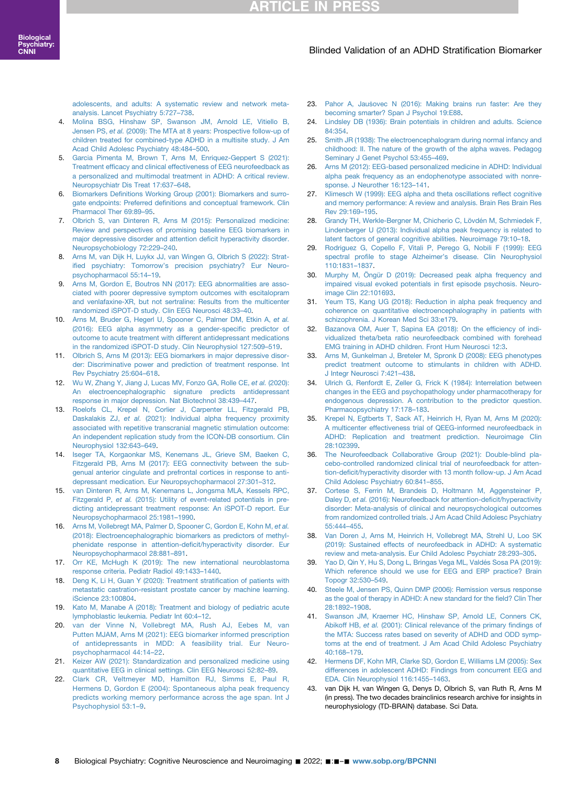[adolescents, and adults: A systematic review and network meta](http://refhub.elsevier.com/S2451-9022(22)00046-5/sref3)[analysis. Lancet Psychiatry 5:727](http://refhub.elsevier.com/S2451-9022(22)00046-5/sref3)–738.

- <span id="page-7-0"></span>4. [Molina BSG, Hinshaw SP, Swanson JM, Arnold LE, Vitiello B,](http://refhub.elsevier.com/S2451-9022(22)00046-5/sref4) Jensen PS, et al. [\(2009\): The MTA at 8 years: Prospective follow-up of](http://refhub.elsevier.com/S2451-9022(22)00046-5/sref4) [children treated for combined-type ADHD in a multisite study. J Am](http://refhub.elsevier.com/S2451-9022(22)00046-5/sref4) [Acad Child Adolesc Psychiatry 48:484](http://refhub.elsevier.com/S2451-9022(22)00046-5/sref4)–500.
- <span id="page-7-1"></span>5. [Garcia Pimenta M, Brown T, Arns M, Enriquez-Geppert S \(2021\):](http://refhub.elsevier.com/S2451-9022(22)00046-5/sref5) Treatment effi[cacy and clinical effectiveness of EEG neurofeedback as](http://refhub.elsevier.com/S2451-9022(22)00046-5/sref5) [a personalized and multimodal treatment in ADHD: A critical review.](http://refhub.elsevier.com/S2451-9022(22)00046-5/sref5) [Neuropsychiatr Dis Treat 17:637](http://refhub.elsevier.com/S2451-9022(22)00046-5/sref5)–648.
- <span id="page-7-2"></span>6. Biomarkers Defi[nitions Working Group \(2001\): Biomarkers and surro](http://refhub.elsevier.com/S2451-9022(22)00046-5/sref6)gate endpoints: Preferred defi[nitions and conceptual framework. Clin](http://refhub.elsevier.com/S2451-9022(22)00046-5/sref6) [Pharmacol Ther 69:89](http://refhub.elsevier.com/S2451-9022(22)00046-5/sref6)–95.
- <span id="page-7-3"></span>7. [Olbrich S, van Dinteren R, Arns M \(2015\): Personalized medicine:](http://refhub.elsevier.com/S2451-9022(22)00046-5/sref7) [Review and perspectives of promising baseline EEG biomarkers in](http://refhub.elsevier.com/S2451-9022(22)00046-5/sref7) [major depressive disorder and attention de](http://refhub.elsevier.com/S2451-9022(22)00046-5/sref7)ficit hyperactivity disorder. [Neuropsychobiology 72:229](http://refhub.elsevier.com/S2451-9022(22)00046-5/sref7)–240.
- <span id="page-7-4"></span>8. [Arns M, van Dijk H, Luykx JJ, van Wingen G, Olbrich S \(2022\): Strat](http://refhub.elsevier.com/S2451-9022(22)00046-5/sref8)ified psychiatry: Tomorrow'[s precision psychiatry? Eur Neuro](http://refhub.elsevier.com/S2451-9022(22)00046-5/sref8)[psychopharmacol 55:14](http://refhub.elsevier.com/S2451-9022(22)00046-5/sref8)–19.
- <span id="page-7-5"></span>9. [Arns M, Gordon E, Boutros NN \(2017\): EEG abnormalities are asso](http://refhub.elsevier.com/S2451-9022(22)00046-5/sref9)[ciated with poorer depressive symptom outcomes with escitalopram](http://refhub.elsevier.com/S2451-9022(22)00046-5/sref9) [and venlafaxine-XR, but not sertraline: Results from the multicenter](http://refhub.elsevier.com/S2451-9022(22)00046-5/sref9) [randomized iSPOT-D study. Clin EEG Neurosci 48:33](http://refhub.elsevier.com/S2451-9022(22)00046-5/sref9)–40.
- <span id="page-7-6"></span>10. [Arns M, Bruder G, Hegerl U, Spooner C, Palmer DM, Etkin A,](http://refhub.elsevier.com/S2451-9022(22)00046-5/sref10) et al. [\(2016\): EEG alpha asymmetry as a gender-speci](http://refhub.elsevier.com/S2451-9022(22)00046-5/sref10)fic predictor of [outcome to acute treatment with different antidepressant medications](http://refhub.elsevier.com/S2451-9022(22)00046-5/sref10) [in the randomized iSPOT-D study. Clin Neurophysiol 127:509](http://refhub.elsevier.com/S2451-9022(22)00046-5/sref10)–519.
- <span id="page-7-17"></span>11. [Olbrich S, Arns M \(2013\): EEG biomarkers in major depressive disor](http://refhub.elsevier.com/S2451-9022(22)00046-5/sref11)[der: Discriminative power and prediction of treatment response. Int](http://refhub.elsevier.com/S2451-9022(22)00046-5/sref11) [Rev Psychiatry 25:604](http://refhub.elsevier.com/S2451-9022(22)00046-5/sref11)–618.
- 12. [Wu W, Zhang Y, Jiang J, Lucas MV, Fonzo GA, Rolle CE,](http://refhub.elsevier.com/S2451-9022(22)00046-5/sref12) et al. (2020): [An electroencephalographic signature predicts antidepressant](http://refhub.elsevier.com/S2451-9022(22)00046-5/sref12) [response in major depression. Nat Biotechnol 38:439](http://refhub.elsevier.com/S2451-9022(22)00046-5/sref12)–447.
- <span id="page-7-36"></span>13. [Roelofs CL, Krepel N, Corlier J, Carpenter LL, Fitzgerald PB,](http://refhub.elsevier.com/S2451-9022(22)00046-5/sref13) Daskalakis ZJ, et al. [\(2021\): Individual alpha frequency proximity](http://refhub.elsevier.com/S2451-9022(22)00046-5/sref13) [associated with repetitive transcranial magnetic stimulation outcome:](http://refhub.elsevier.com/S2451-9022(22)00046-5/sref13) [An independent replication study from the ICON-DB consortium. Clin](http://refhub.elsevier.com/S2451-9022(22)00046-5/sref13) [Neurophysiol 132:643](http://refhub.elsevier.com/S2451-9022(22)00046-5/sref13)–649.
- <span id="page-7-7"></span>14. [Iseger TA, Korgaonkar MS, Kenemans JL, Grieve SM, Baeken C,](http://refhub.elsevier.com/S2451-9022(22)00046-5/sref14) [Fitzgerald PB, Arns M \(2017\): EEG connectivity between the sub](http://refhub.elsevier.com/S2451-9022(22)00046-5/sref14)[genual anterior cingulate and prefrontal cortices in response to anti](http://refhub.elsevier.com/S2451-9022(22)00046-5/sref14)[depressant medication. Eur Neuropsychopharmacol 27:301](http://refhub.elsevier.com/S2451-9022(22)00046-5/sref14)–312.
- <span id="page-7-8"></span>15. [van Dinteren R, Arns M, Kenemans L, Jongsma MLA, Kessels RPC,](http://refhub.elsevier.com/S2451-9022(22)00046-5/sref15) Fitzgerald P, et al. [\(2015\): Utility of event-related potentials in pre](http://refhub.elsevier.com/S2451-9022(22)00046-5/sref15)[dicting antidepressant treatment response: An iSPOT-D report. Eur](http://refhub.elsevier.com/S2451-9022(22)00046-5/sref15) [Neuropsychopharmacol 25:1981](http://refhub.elsevier.com/S2451-9022(22)00046-5/sref15)–1990.
- <span id="page-7-9"></span>16. [Arns M, Vollebregt MA, Palmer D, Spooner C, Gordon E, Kohn M,](http://refhub.elsevier.com/S2451-9022(22)00046-5/sref16) et al. [\(2018\): Electroencephalographic biomarkers as predictors of methyl](http://refhub.elsevier.com/S2451-9022(22)00046-5/sref16)[phenidate response in attention-de](http://refhub.elsevier.com/S2451-9022(22)00046-5/sref16)ficit/hyperactivity disorder. Eur [Neuropsychopharmacol 28:881](http://refhub.elsevier.com/S2451-9022(22)00046-5/sref16)–891.
- <span id="page-7-10"></span>17. [Orr KE, McHugh K \(2019\): The new international neuroblastoma](http://refhub.elsevier.com/S2451-9022(22)00046-5/sref17) [response criteria. Pediatr Radiol 49:1433](http://refhub.elsevier.com/S2451-9022(22)00046-5/sref17)–1440.
- 18. [Deng K, Li H, Guan Y \(2020\): Treatment strati](http://refhub.elsevier.com/S2451-9022(22)00046-5/sref18)fication of patients with [metastatic castration-resistant prostate cancer by machine learning.](http://refhub.elsevier.com/S2451-9022(22)00046-5/sref18) [iScience 23:100804.](http://refhub.elsevier.com/S2451-9022(22)00046-5/sref18)
- 19. [Kato M, Manabe A \(2018\): Treatment and biology of pediatric acute](http://refhub.elsevier.com/S2451-9022(22)00046-5/sref19) [lymphoblastic leukemia. Pediatr Int 60:4](http://refhub.elsevier.com/S2451-9022(22)00046-5/sref19)–12.
- <span id="page-7-11"></span>20. [van der Vinne N, Vollebregt MA, Rush AJ, Eebes M, van](http://refhub.elsevier.com/S2451-9022(22)00046-5/sref20) [Putten MJAM, Arns M \(2021\): EEG biomarker informed prescription](http://refhub.elsevier.com/S2451-9022(22)00046-5/sref20) [of antidepressants in MDD: A feasibility trial. Eur Neuro](http://refhub.elsevier.com/S2451-9022(22)00046-5/sref20)[psychopharmacol 44:14](http://refhub.elsevier.com/S2451-9022(22)00046-5/sref20)–22.
- <span id="page-7-12"></span>21. [Keizer AW \(2021\): Standardization and personalized medicine using](http://refhub.elsevier.com/S2451-9022(22)00046-5/sref21) [quantitative EEG in clinical settings. Clin EEG Neurosci 52:82](http://refhub.elsevier.com/S2451-9022(22)00046-5/sref21)–89.
- <span id="page-7-13"></span>22. [Clark CR, Veltmeyer MD, Hamilton RJ, Simms E, Paul R,](http://refhub.elsevier.com/S2451-9022(22)00046-5/sref22) [Hermens D, Gordon E \(2004\): Spontaneous alpha peak frequency](http://refhub.elsevier.com/S2451-9022(22)00046-5/sref22) [predicts working memory performance across the age span. Int J](http://refhub.elsevier.com/S2451-9022(22)00046-5/sref22) [Psychophysiol 53:1](http://refhub.elsevier.com/S2451-9022(22)00046-5/sref22)–9.
- <span id="page-7-14"></span>23. [Pahor A, Jau](http://refhub.elsevier.com/S2451-9022(22)00046-5/sref23)s[ovec N \(2016\): Making brains run faster: Are they](http://refhub.elsevier.com/S2451-9022(22)00046-5/sref23) [becoming smarter? Span J Psychol 19:E88](http://refhub.elsevier.com/S2451-9022(22)00046-5/sref23).
- <span id="page-7-15"></span>24. [Lindsley DB \(1936\): Brain potentials in children and adults. Science](http://refhub.elsevier.com/S2451-9022(22)00046-5/sref24) [84:354](http://refhub.elsevier.com/S2451-9022(22)00046-5/sref24).
- <span id="page-7-16"></span>25. [Smith JR \(1938\): The electroencephalogram during normal infancy and](http://refhub.elsevier.com/S2451-9022(22)00046-5/sref25) [childhood: II. The nature of the growth of the alpha waves. Pedagog](http://refhub.elsevier.com/S2451-9022(22)00046-5/sref25) [Seminary J Genet Psychol 53:455](http://refhub.elsevier.com/S2451-9022(22)00046-5/sref25)–469.
- <span id="page-7-18"></span>26. [Arns M \(2012\): EEG-based personalized medicine in ADHD: Individual](http://refhub.elsevier.com/S2451-9022(22)00046-5/sref26) [alpha peak frequency as an endophenotype associated with nonre](http://refhub.elsevier.com/S2451-9022(22)00046-5/sref26)[sponse. J Neurother 16:123](http://refhub.elsevier.com/S2451-9022(22)00046-5/sref26)–141.
- <span id="page-7-19"></span>27. [Klimesch W \(1999\): EEG alpha and theta oscillations re](http://refhub.elsevier.com/S2451-9022(22)00046-5/sref27)flect cognitive [and memory performance: A review and analysis. Brain Res Brain Res](http://refhub.elsevier.com/S2451-9022(22)00046-5/sref27) [Rev 29:169](http://refhub.elsevier.com/S2451-9022(22)00046-5/sref27)–195.
- <span id="page-7-20"></span>28. [Grandy TH, Werkle-Bergner M, Chicherio C, Lövdén M, Schmiedek F,](http://refhub.elsevier.com/S2451-9022(22)00046-5/sref28) [Lindenberger U \(2013\): Individual alpha peak frequency is related to](http://refhub.elsevier.com/S2451-9022(22)00046-5/sref28) [latent factors of general cognitive abilities. Neuroimage 79:10](http://refhub.elsevier.com/S2451-9022(22)00046-5/sref28)–18.
- <span id="page-7-21"></span>29. [Rodriguez G, Copello F, Vitali P, Perego G, Nobili F \(1999\): EEG](http://refhub.elsevier.com/S2451-9022(22)00046-5/sref29) spectral profile to stage Alzheimer'[s disease. Clin Neurophysiol](http://refhub.elsevier.com/S2451-9022(22)00046-5/sref29) [110:1831](http://refhub.elsevier.com/S2451-9022(22)00046-5/sref29)–1837.
- <span id="page-7-22"></span>30. [Murphy M, Öngür D \(2019\): Decreased peak alpha frequency and](http://refhub.elsevier.com/S2451-9022(22)00046-5/sref30) [impaired visual evoked potentials in](http://refhub.elsevier.com/S2451-9022(22)00046-5/sref30) first episode psychosis. Neuro[image Clin 22:101693](http://refhub.elsevier.com/S2451-9022(22)00046-5/sref30).
- <span id="page-7-23"></span>31. [Yeum TS, Kang UG \(2018\): Reduction in alpha peak frequency and](http://refhub.elsevier.com/S2451-9022(22)00046-5/sref31) [coherence on quantitative electroencephalography in patients with](http://refhub.elsevier.com/S2451-9022(22)00046-5/sref31) [schizophrenia. J Korean Med Sci 33:e179](http://refhub.elsevier.com/S2451-9022(22)00046-5/sref31).
- <span id="page-7-24"></span>32. [Bazanova OM, Auer T, Sapina EA \(2018\): On the ef](http://refhub.elsevier.com/S2451-9022(22)00046-5/sref32)ficiency of indi[vidualized theta/beta ratio neurofeedback combined with forehead](http://refhub.elsevier.com/S2451-9022(22)00046-5/sref32) [EMG training in ADHD children. Front Hum Neurosci 12:3.](http://refhub.elsevier.com/S2451-9022(22)00046-5/sref32)
- <span id="page-7-25"></span>33. [Arns M, Gunkelman J, Breteler M, Spronk D \(2008\): EEG phenotypes](http://refhub.elsevier.com/S2451-9022(22)00046-5/sref33) [predict treatment outcome to stimulants in children with ADHD.](http://refhub.elsevier.com/S2451-9022(22)00046-5/sref33) [J Integr Neurosci 7:421](http://refhub.elsevier.com/S2451-9022(22)00046-5/sref33)–438.
- <span id="page-7-26"></span>34. [Ulrich G, Renfordt E, Zeller G, Frick K \(1984\): Interrelation between](http://refhub.elsevier.com/S2451-9022(22)00046-5/sref34) [changes in the EEG and psychopathology under pharmacotherapy for](http://refhub.elsevier.com/S2451-9022(22)00046-5/sref34) [endogenous depression. A contribution to the predictor question.](http://refhub.elsevier.com/S2451-9022(22)00046-5/sref34) [Pharmacopsychiatry 17:178](http://refhub.elsevier.com/S2451-9022(22)00046-5/sref34)–183.
- <span id="page-7-27"></span>35. [Krepel N, Egtberts T, Sack AT, Heinrich H, Ryan M, Arns M \(2020\):](http://refhub.elsevier.com/S2451-9022(22)00046-5/sref35) [A multicenter effectiveness trial of QEEG-informed neurofeedback in](http://refhub.elsevier.com/S2451-9022(22)00046-5/sref35) [ADHD: Replication and treatment prediction. Neuroimage Clin](http://refhub.elsevier.com/S2451-9022(22)00046-5/sref35) [28:102399.](http://refhub.elsevier.com/S2451-9022(22)00046-5/sref35)
- <span id="page-7-28"></span>36. [The Neurofeedback Collaborative Group \(2021\): Double-blind pla](http://refhub.elsevier.com/S2451-9022(22)00046-5/sref36)[cebo-controlled randomized clinical trial of neurofeedback for atten](http://refhub.elsevier.com/S2451-9022(22)00046-5/sref36)tion-defi[cit/hyperactivity disorder with 13 month follow-up. J Am Acad](http://refhub.elsevier.com/S2451-9022(22)00046-5/sref36) [Child Adolesc Psychiatry 60:841](http://refhub.elsevier.com/S2451-9022(22)00046-5/sref36)–855.
- <span id="page-7-29"></span>37. [Cortese S, Ferrin M, Brandeis D, Holtmann M, Aggensteiner P,](http://refhub.elsevier.com/S2451-9022(22)00046-5/sref37) Daley D, et al. [\(2016\): Neurofeedback for attention-de](http://refhub.elsevier.com/S2451-9022(22)00046-5/sref37)ficit/hyperactivity [disorder: Meta-analysis of clinical and neuropsychological outcomes](http://refhub.elsevier.com/S2451-9022(22)00046-5/sref37) [from randomized controlled trials. J Am Acad Child Adolesc Psychiatry](http://refhub.elsevier.com/S2451-9022(22)00046-5/sref37) [55:444](http://refhub.elsevier.com/S2451-9022(22)00046-5/sref37)–455.
- <span id="page-7-30"></span>38. [Van Doren J, Arns M, Heinrich H, Vollebregt MA, Strehl U, Loo SK](http://refhub.elsevier.com/S2451-9022(22)00046-5/sref38) [\(2019\): Sustained effects of neurofeedback in ADHD: A systematic](http://refhub.elsevier.com/S2451-9022(22)00046-5/sref38) [review and meta-analysis. Eur Child Adolesc Psychiatr 28:293](http://refhub.elsevier.com/S2451-9022(22)00046-5/sref38)–305.
- <span id="page-7-31"></span>39. [Yao D, Qin Y, Hu S, Dong L, Bringas Vega ML, Valdés Sosa PA \(2019\):](http://refhub.elsevier.com/S2451-9022(22)00046-5/sref39) [Which reference should we use for EEG and ERP practice? Brain](http://refhub.elsevier.com/S2451-9022(22)00046-5/sref39) [Topogr 32:530](http://refhub.elsevier.com/S2451-9022(22)00046-5/sref39)–549.
- <span id="page-7-32"></span>40. [Steele M, Jensen PS, Quinn DMP \(2006\): Remission versus response](http://refhub.elsevier.com/S2451-9022(22)00046-5/sref40) [as the goal of therapy in ADHD: A new standard for the](http://refhub.elsevier.com/S2451-9022(22)00046-5/sref40) field? Clin Ther [28:1892](http://refhub.elsevier.com/S2451-9022(22)00046-5/sref40)–1908.
- <span id="page-7-33"></span>41. [Swanson JM, Kraemer HC, Hinshaw SP, Arnold LE, Conners CK,](http://refhub.elsevier.com/S2451-9022(22)00046-5/sref41) Abikoff HB, et al. [\(2001\): Clinical relevance of the primary](http://refhub.elsevier.com/S2451-9022(22)00046-5/sref41) findings of [the MTA: Success rates based on severity of ADHD and ODD symp](http://refhub.elsevier.com/S2451-9022(22)00046-5/sref41)[toms at the end of treatment. J Am Acad Child Adolesc Psychiatry](http://refhub.elsevier.com/S2451-9022(22)00046-5/sref41) [40:168](http://refhub.elsevier.com/S2451-9022(22)00046-5/sref41)–179.
- <span id="page-7-34"></span>42. [Hermens DF, Kohn MR, Clarke SD, Gordon E, Williams LM \(2005\): Sex](http://refhub.elsevier.com/S2451-9022(22)00046-5/sref42) [differences in adolescent ADHD: Findings from concurrent EEG and](http://refhub.elsevier.com/S2451-9022(22)00046-5/sref42) [EDA. Clin Neurophysiol 116:1455](http://refhub.elsevier.com/S2451-9022(22)00046-5/sref42)–1463.
- <span id="page-7-35"></span>43. van Dijk H, van Wingen G, Denys D, Olbrich S, van Ruth R, Arns M (in press). The two decades brainclinics research archive for insights in neurophysiology (TD-BRAIN) database. Sci Data.